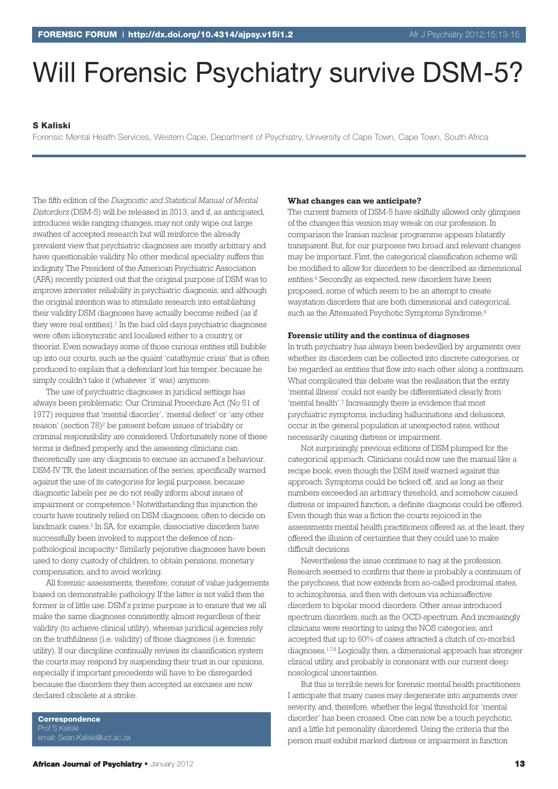# Will Forensic Psychiatry survive DSM-5?

#### **S Kaliski**

Forensic Mental Health Services, Western Cape, Department of Psychiatry, University of Cape Town, Cape Town, South Africa

The fifth edition of the *Diagnostic and Statistical Manual of Mental Distorders* (DSM-5) will be released in 2013, and if, as anticipated, introduces wide ranging changes, may not only wipe out large swathes of accepted research but will reinforce the already prevalent view that psychiatric diagnoses are mostly arbitrary and have questionable validity. No other medical speciality suffers this indignity.The President of the American Psychiatric Association (APA) recently pointed out that the original purpose of DSM was to improve interrater reliability in psychiatric diagnosis, and although the original intention was to stimulate research into establishing their validity DSM diagnoses have actually become reified (as if they were real entities). <sup>1</sup> In the bad old days psychiatric diagnoses were often idiosyncratic and localised either to a country, or theorist. Even nowadays some of those curious entities still bubble up into our courts, such as the quaint 'catathymic crisis' that is often produced to explain that a defendant lost his temper, because he simply couldn't take it (whatever 'it' was) anymore.

The use of psychiatric diagnoses in juridical settings has always been problematic. Our Criminal Procedure Act (No 51 of 1977) requires that 'mental disorder', 'mental defect' or 'any other reason' (section 78)<sup>2</sup> be present before issues of triability or criminal responsibility are considered. Unfortunately none of these terms is defined properly, and the assessing clinicians can theoretically use any diagnosis to excuse an accused's behaviour. DSM-IV TR, the latest incarnation of the series, specifically warned against the use of its categories for legal purposes, because diagnostic labels per se do not really inform about issues of impairment or competence. <sup>2</sup> Notwithstanding this injunction the courts have routinely relied on DSM diagnoses, often to decide on landmark cases. <sup>3</sup> In SA, for example, dissociative disorders have successfully been invoked to support the defence of nonpathological incapacity. <sup>4</sup> Similarly pejorative diagnoses have been used to deny custody of children, to obtain pensions, monetary compensation, and to avoid working.

All forensic assessments, therefore, consist of value judgements based on demonstrable pathology. If the latter is not valid then the former is of little use. DSM's prime purpose is to ensure that we all make the same diagnoses consistently, almost regardless of their validity (to achieve clinical utility), whereas juridical agencies rely on the truthfulness (i.e. validity) of those diagnoses (i.e. forensic utility). If our discipline continually revises its classification system the courts may respond by suspending their trust in our opinions, especially if important precedents will have to be disregarded because the disorders they then accepted as excuses are now declared obsolete at a stroke.

**Correspondence** Prof S Kaliski

#### **What changes can we anticipate?**

The current framers of DSM-5 have skilfully allowed only glimpses of the changes this version may wreak on our profession. In comparison the Iranian nuclear programme appears blatantly transparent. But, for our purposes two broad and relevant changes may be important. First, the categorical classification scheme will be modified to allow for disorders to be described as dimensional entities. <sup>5</sup> Secondly, as expected, new disorders have been proposed, some of which seem to be an attempt to create waystation disorders that are both dimensional and categorical, such as the Attenuated Psychotic Symptoms Syndrome.<sup>6</sup>

#### **Forensic utility and the continua of diagnoses**

In truth psychiatry has always been bedevilled by arguments over whether its disorders can be collected into discrete categories, or be regarded as entities that flow into each other along a continuum. What complicated this debate was the realisation that the entity 'mental illness' could not easily be differentiated clearly from 'mental health'. <sup>7</sup> Increasingly there is evidence that most psychiatric symptoms, including hallucinations and delusions, occur in the general population at unexpected rates, without necessarily causing distress or impairment.

Not surprisingly, previous editions of DSM plumped for the categorical approach. Clinicians could now use the manual like a recipe book, even though the DSM itself warned against this approach. Symptoms could be ticked off, and as long as their numbers exceeded an arbitrary threshold, and somehow caused distress or impaired function, a definite diagnosis could be offered. Even though this was a fiction the courts rejoiced in the assessments mental health practitioners offered as, at the least, they offered the illusion of certainties that they could use to make difficult decisions.

Nevertheless the issue continues to nag at the profession. Research seemed to confirm that there is probably a continuum of the psychoses, that now extends from so-called prodromal states, to schizophrenia, and then with detours via schizoaffective disorders to bipolar mood disorders. Other areas introduced spectrum disorders, such as the OCD-spectrum. And increasingly clinicians were resorting to using the NOS categories, and accepted that up to 60% of cases attracted a clutch of co-morbid diagnoses. 1,7,8 Logically, then, a dimensional approach has stronger clinical utility, and probably is consonant with our current deep nosological uncertainties.

But this is terrible news for forensic mental health practitioners. I anticipate that many cases may degenerate into arguments over severity, and, therefore, whether the legal threshold for 'mental disorder' has been crossed. One can now be a touch psychotic, and a little bit personality disordered. Using the criteria that the person must exhibit marked distress or impairment in function